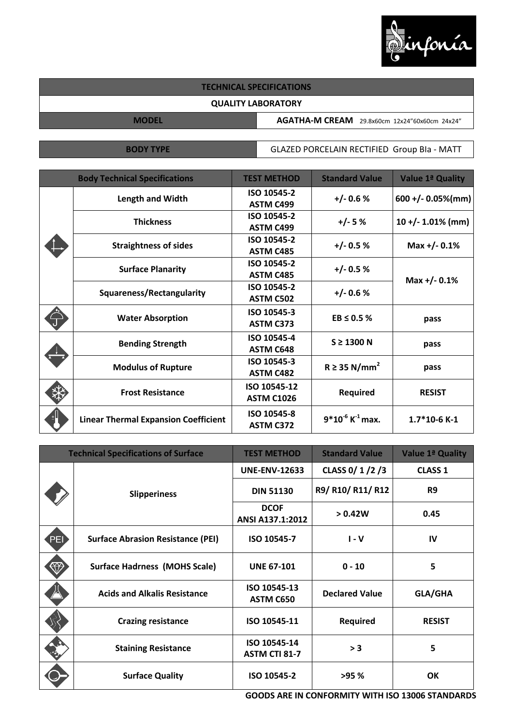

## **TECHNICAL SPECIFICATIONS**

## **QUALITY LABORATORY**

**MODEL AGATHA-M CREAM** 29.8x60cm 12x24"60x60cm 24x24"

**BODY TYPE GLAZED PORCELAIN RECTIFIED Group BIa - MATT** 

|  | <b>Body Technical Specifications</b>        | <b>TEST METHOD</b>                | <b>Standard Value</b>            | Value 1ª Quality       |
|--|---------------------------------------------|-----------------------------------|----------------------------------|------------------------|
|  | <b>Length and Width</b>                     | ISO 10545-2<br><b>ASTM C499</b>   | $+/- 0.6 %$                      | $600 + (-0.05\% (mm))$ |
|  | <b>Thickness</b>                            | ISO 10545-2<br><b>ASTM C499</b>   | $+/-5%$                          | $10 + (-1.01\% (mm))$  |
|  | <b>Straightness of sides</b>                | ISO 10545-2<br><b>ASTM C485</b>   | $+/- 0.5 %$                      | Max $+/- 0.1\%$        |
|  | <b>Surface Planarity</b>                    | ISO 10545-2<br><b>ASTM C485</b>   | $+/- 0.5 %$                      | Max $+/- 0.1%$         |
|  | Squareness/Rectangularity                   | ISO 10545-2<br><b>ASTM C502</b>   | $+/- 0.6 %$                      |                        |
|  | <b>Water Absorption</b>                     | ISO 10545-3<br><b>ASTM C373</b>   | $EB \leq 0.5$ %                  | pass                   |
|  | <b>Bending Strength</b>                     | ISO 10545-4<br><b>ASTM C648</b>   | $S \geq 1300$ N                  | pass                   |
|  | <b>Modulus of Rupture</b>                   | ISO 10545-3<br><b>ASTM C482</b>   | $R \geq 35$ N/mm <sup>2</sup>    | pass                   |
|  | <b>Frost Resistance</b>                     | ISO 10545-12<br><b>ASTM C1026</b> | <b>Required</b>                  | <b>RESIST</b>          |
|  | <b>Linear Thermal Expansion Coefficient</b> | ISO 10545-8<br><b>ASTM C372</b>   | $9*10^{-6}$ K <sup>-1</sup> max. | $1.7*10-6$ K-1         |

| <b>Technical Specifications of Surface</b> |                                          | <b>TEST METHOD</b>                   | <b>Standard Value</b> | Value 1ª Quality |
|--------------------------------------------|------------------------------------------|--------------------------------------|-----------------------|------------------|
|                                            | <b>Slipperiness</b>                      | <b>UNE-ENV-12633</b>                 | CLASS 0/ 1/2/3        | <b>CLASS 1</b>   |
|                                            |                                          | <b>DIN 51130</b>                     | R9/ R10/ R11/ R12     | R <sub>9</sub>   |
|                                            |                                          | <b>DCOF</b><br>ANSI A137.1:2012      | > 0.42W               | 0.45             |
| [PE]                                       | <b>Surface Abrasion Resistance (PEI)</b> | ISO 10545-7                          | $I - V$               | IV               |
|                                            | <b>Surface Hadrness (MOHS Scale)</b>     | <b>UNE 67-101</b>                    | $0 - 10$              | 5                |
|                                            | <b>Acids and Alkalis Resistance</b>      | ISO 10545-13<br>ASTM C650            | <b>Declared Value</b> | <b>GLA/GHA</b>   |
|                                            | <b>Crazing resistance</b>                | ISO 10545-11                         | Required              | <b>RESIST</b>    |
|                                            | <b>Staining Resistance</b>               | ISO 10545-14<br><b>ASTM CTI 81-7</b> | > 3                   | 5                |
|                                            | <b>Surface Quality</b>                   | ISO 10545-2                          | >95 %                 | OK               |

**GOODS ARE IN CONFORMITY WITH ISO 13006 STANDARDS**